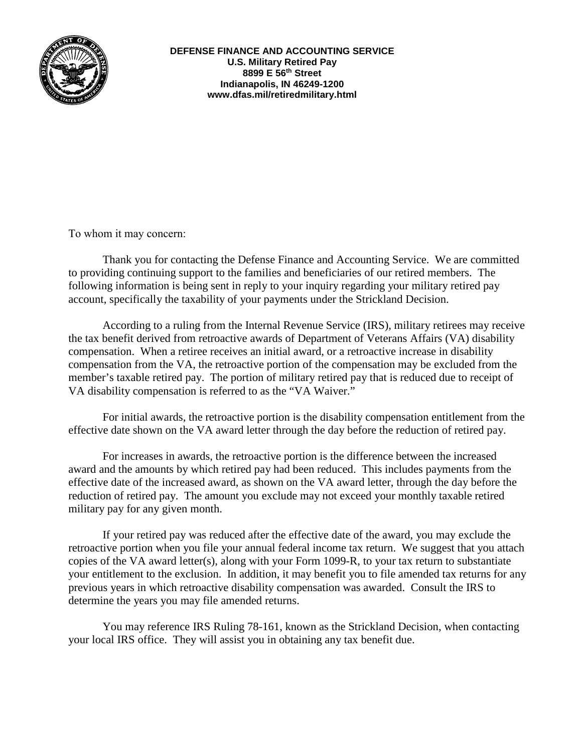

**DEFENSE FINANCE AND ACCOUNTING SERVICE U.S. Military Retired Pay 8899 E 56th Street Indianapolis, IN 46249-1200 www.dfas.mil/retiredmilitary.html** 

To whom it may concern:

Thank you for contacting the Defense Finance and Accounting Service. We are committed to providing continuing support to the families and beneficiaries of our retired members. The following information is being sent in reply to your inquiry regarding your military retired pay account, specifically the taxability of your payments under the Strickland Decision.

According to a ruling from the Internal Revenue Service (IRS), military retirees may receive the tax benefit derived from retroactive awards of Department of Veterans Affairs (VA) disability compensation. When a retiree receives an initial award, or a retroactive increase in disability compensation from the VA, the retroactive portion of the compensation may be excluded from the member's taxable retired pay. The portion of military retired pay that is reduced due to receipt of VA disability compensation is referred to as the "VA Waiver."

For initial awards, the retroactive portion is the disability compensation entitlement from the effective date shown on the VA award letter through the day before the reduction of retired pay.

For increases in awards, the retroactive portion is the difference between the increased award and the amounts by which retired pay had been reduced. This includes payments from the effective date of the increased award, as shown on the VA award letter, through the day before the reduction of retired pay. The amount you exclude may not exceed your monthly taxable retired military pay for any given month.

If your retired pay was reduced after the effective date of the award, you may exclude the retroactive portion when you file your annual federal income tax return. We suggest that you attach copies of the VA award letter(s), along with your Form 1099-R, to your tax return to substantiate your entitlement to the exclusion. In addition, it may benefit you to file amended tax returns for any previous years in which retroactive disability compensation was awarded. Consult the IRS to determine the years you may file amended returns.

You may reference IRS Ruling 78-161, known as the Strickland Decision, when contacting your local IRS office. They will assist you in obtaining any tax benefit due.